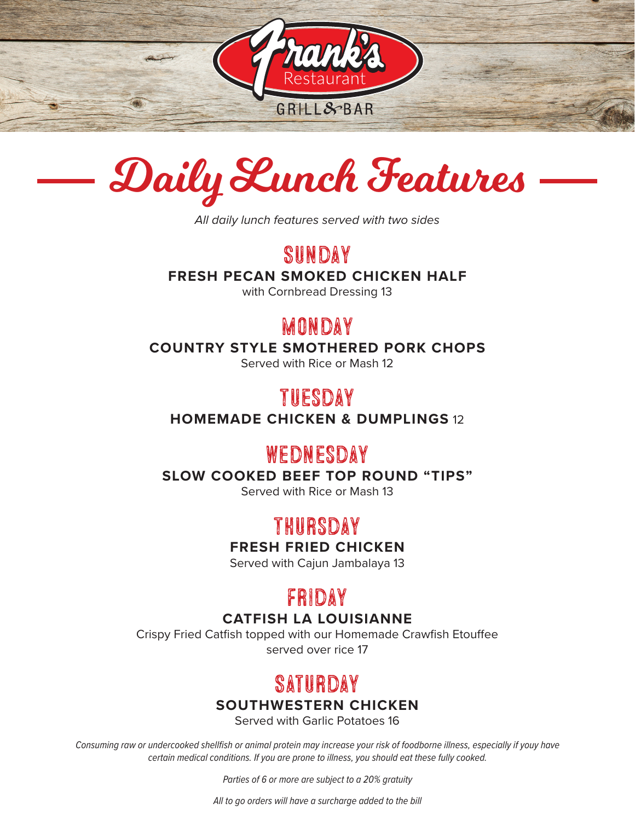



*All daily lunch features served with two sides*

Sunday

**FRESH PECAN SMOKED CHICKEN HALF** 

with Cornbread Dressing 13

# **MONDAY**

**COUNTRY STYLE SMOTHERED PORK CHOPS** 

Served with Rice or Mash 12

# Tuesday

**HOMEMADE CHICKEN & DUMPLINGS** 12

## Wednesday

**SLOW COOKED BEEF TOP ROUND "TIPS"** 

Served with Rice or Mash 13

# Thursday

### **FRESH FRIED CHICKEN**

Served with Cajun Jambalaya 13

### Friday

### **CATFISH LA LOUISIANNE**

Crispy Fried Catfish topped with our Homemade Crawfish Etouffee served over rice 17

# **SATURDAY**

### **SOUTHWESTERN CHICKEN**

Served with Garlic Potatoes 16

*Consuming raw or undercooked shellfish or animal protein may increase your risk of foodborne illness, especially if youy have certain medical conditions. If you are prone to illness, you should eat these fully cooked.* 

*Parties of 6 or more are subject to a 20% gratuity* 

*All to go orders will have a surcharge added to the bill*